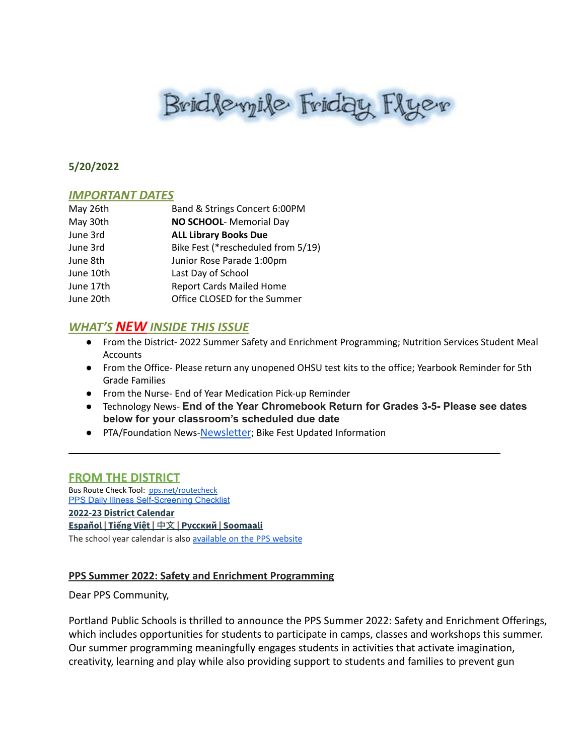# Bridlevyile Friday Flyer

#### **5/20/2022**

#### *IMPORTANT DATES*

| May 26th  | Band & Strings Concert 6:00PM      |
|-----------|------------------------------------|
| May 30th  | NO SCHOOL- Memorial Day            |
| June 3rd  | <b>ALL Library Books Due</b>       |
| June 3rd  | Bike Fest (*rescheduled from 5/19) |
| June 8th  | Junior Rose Parade 1:00pm          |
| June 10th | Last Day of School                 |
| June 17th | <b>Report Cards Mailed Home</b>    |
| June 20th | Office CLOSED for the Summer       |
|           |                                    |

#### *WHAT'S NEW INSIDE THIS ISSUE*

- From the District- 2022 Summer Safety and Enrichment Programming; Nutrition Services Student Meal Accounts
- From the Office- Please return any unopened OHSU test kits to the office; Yearbook Reminder for 5th Grade Families
- From the Nurse- End of Year Medication Pick-up Reminder
- Technology News- **End of the Year Chromebook Return for Grades 3-5- Please see dates below for your classroom's scheduled due date**

 $\sim$  . The contribution of the contribution of the contribution of the contribution of the contribution of  $\sim$  . The contribution of the contribution of the contribution of the contribution of the contribution of the con

● PTA/Foundation News-[Newsletter](https://docs.google.com/document/u/1/d/e/2PACX-1vQlZCPHtKxqO7qpJwiwgoeaZ1ERHVLgg6z0JNYJMTulwn7xlOVY_X2I1ZV9nntsGHP57LEZ_uSufaFj/pub); Bike Fest Updated Information

#### **FROM THE DISTRICT**

Bus Route Check Tool: [pps.net/routecheck](https://www.pps.net/routecheck) **[PPS Daily Illness Self-Screening Checklist](https://www.pps.net/Page/18693) 2022-23 District [Calendar](https://www.pps.net/cms/lib/OR01913224/Centricity/Domain/4/PPS-Calendar-2022-23.pdf) [Español](https://www.pps.net/cms/lib/OR01913224/Centricity/Domain/4/PPS_Calendar-2022-23_Spanish.pdf) | [Tiếng](https://www.pps.net/cms/lib/OR01913224/Centricity/Domain/4/PPS_Calendar_2022-23-Vietnamese.pdf) Việt |** [中文](https://www.pps.net/cms/lib/OR01913224/Centricity/Domain/4/PPS_Calendar-2022-23_Chinese.pdf) **| [Русский](https://www.pps.net/cms/lib/OR01913224/Centricity/Domain/4/PPS_Calendar-2022-23_Russian.pdf) | [Soomaali](https://www.pps.net/cms/lib/OR01913224/Centricity/Domain/4/PPS_Calendar-2022-23_Somali.pdf)**

The school year calendar is also [available](https://www.pps.net/Page/2#calendar1/20220420/month) on the PPS website

#### **PPS Summer 2022: Safety and Enrichment Programming**

Dear PPS Community,

Portland Public Schools is thrilled to announce the PPS Summer 2022: Safety and Enrichment Offerings, which includes opportunities for students to participate in camps, classes and workshops this summer. Our summer programming meaningfully engages students in activities that activate imagination, creativity, learning and play while also providing support to students and families to prevent gun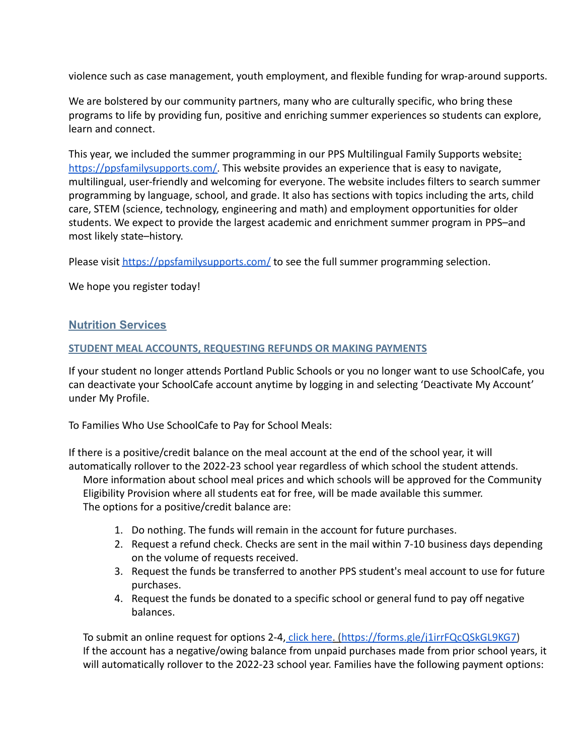violence such as case management, youth employment, and flexible funding for wrap-around supports.

We are bolstered by our community partners, many who are culturally specific, who bring these programs to life by providing fun, positive and enriching summer experiences so students can explore, learn and connect.

This year, we included the summer programming in our PPS Multilingual Family Supports website: [https://ppsfamilysupports.com/.](http://track.spe.schoolmessenger.com/f/a/UdnQ72PRpn4mX6j29SfRhg~~/AAAAAQA~/RgRkZ6R8P0QeaHR0cHM6Ly9wcHNmYW1pbHlzdXBwb3J0cy5jb20vVwdzY2hvb2xtQgpihvxwhmJIeid2UhBkYnVybGluZ0BwcHMubmV0WAQAAAAB) This website provides an experience that is easy to navigate, multilingual, user-friendly and welcoming for everyone. The website includes filters to search summer programming by language, school, and grade. It also has sections with topics including the arts, child care, STEM (science, technology, engineering and math) and employment opportunities for older students. We expect to provide the largest academic and enrichment summer program in PPS–and most likely state–history.

Please visit [https://ppsfamilysupports.com/](http://track.spe.schoolmessenger.com/f/a/UdnQ72PRpn4mX6j29SfRhg~~/AAAAAQA~/RgRkZ6R8P0QeaHR0cHM6Ly9wcHNmYW1pbHlzdXBwb3J0cy5jb20vVwdzY2hvb2xtQgpihvxwhmJIeid2UhBkYnVybGluZ0BwcHMubmV0WAQAAAAB) to see the full summer programming selection.

We hope you register today!

#### **Nutrition Services**

#### **STUDENT MEAL ACCOUNTS, REQUESTING REFUNDS OR MAKING PAYMENTS**

If your student no longer attends Portland Public Schools or you no longer want to use SchoolCafe, you can deactivate your SchoolCafe account anytime by logging in and selecting 'Deactivate My Account' under My Profile.

To Families Who Use SchoolCafe to Pay for School Meals:

If there is a positive/credit balance on the meal account at the end of the school year, it will automatically rollover to the 2022-23 school year regardless of which school the student attends. More information about school meal prices and which schools will be approved for the Community Eligibility Provision where all students eat for free, will be made available this summer. The options for a positive/credit balance are:

- 1. Do nothing. The funds will remain in the account for future purchases.
- 2. Request a refund check. Checks are sent in the mail within 7-10 business days depending on the volume of requests received.
- 3. Request the funds be transferred to another PPS student's meal account to use for future purchases.
- 4. Request the funds be donated to a specific school or general fund to pay off negative balances.

To submit an online request for options 2-4, click [here.](http://tinyurl.com/ppsrequest) ([https://forms.gle/j1irrFQcQSkGL9KG7\)](https://forms.gle/j1irrFQcQSkGL9KG7) If the account has a negative/owing balance from unpaid purchases made from prior school years, it will automatically rollover to the 2022-23 school year. Families have the following payment options: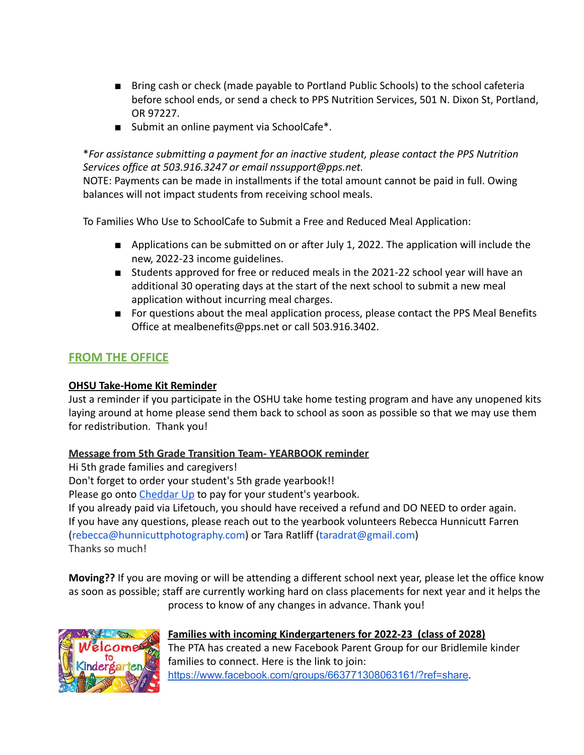- Bring cash or check (made payable to Portland Public Schools) to the school cafeteria before school ends, or send a check to PPS Nutrition Services, 501 N. Dixon St, Portland, OR 97227.
- Submit an online payment via SchoolCafe<sup>\*</sup>.

#### \**For assistance submitting a payment for an inactive student, please contact the PPS Nutrition Services office at 503.916.3247 or email nssupport@pps.net.*

NOTE: Payments can be made in installments if the total amount cannot be paid in full. Owing balances will not impact students from receiving school meals.

To Families Who Use to SchoolCafe to Submit a Free and Reduced Meal Application:

- Applications can be submitted on or after July 1, 2022. The application will include the new, 2022-23 income guidelines.
- Students approved for free or reduced meals in the 2021-22 school year will have an additional 30 operating days at the start of the next school to submit a new meal application without incurring meal charges.
- For questions about the meal application process, please contact the PPS Meal Benefits Office at mealbenefits@pps.net or call 503.916.3402.

#### **FROM THE OFFICE**

#### **OHSU Take-Home Kit Reminder**

Just a reminder if you participate in the OSHU take home testing program and have any unopened kits laying around at home please send them back to school as soon as possible so that we may use them for redistribution. Thank you!

#### **Message from 5th Grade Transition Team- YEARBOOK reminder**

Hi 5th grade families and caregivers!

Don't forget to order your student's 5th grade yearbook!!

Please go onto [Cheddar Up](http://url4609.membershiptoolkit.com/ls/click?upn=YlRn298vGyos0Lb1sOP922ofKSp4azSjLwI8SNiPw4Ki88AHeqSSD6u7xtC-2BSyh3fdHA9n0LBX4CPlzf50ctCw-3D-3DEvYY_bizJ3rQjIh9-2F40eorGOn5XfyH-2FhjzyvnsneteohXA65eYbfLThMY5VPz1WO4Yzoh3dy-2BvGYCHnt5ryCK6mQ7n4Nx6ExG1w7h0CBNUtCkGcDejI26D8DXtYRBwe4kBPGN6ojZ-2FddlWtkcpWXwP8OX8NWxoI79sHP1d4-2BEwtVBc8vDptrwmMqtIAOrdA2diAqRDk0-2FbA9PEMGXGX4PoDweAODQMWqqXx7qsx-2BuS4nUFX-2FY3xs0mHGpkbFjgnlUihIQHnTH-2FrXA9sOOGqqyaURo6WC90FFN5GvNlAvNIhzDsbdBfTOZlBY8j-2B0h581uQa6uz2x-2Fuj7BATKeqwOssQOFCE7o9q7i-2BC-2Bd-2Bvev1KmQDUJUSnLvZNOgRXnBT-2FoTHNUp) to pay for your student's yearbook.

If you already paid via Lifetouch, you should have received a refund and DO NEED to order again. If you have any questions, please reach out to the yearbook volunteers Rebecca Hunnicutt Farren (rebecca@hunnicuttphotography.com) or Tara Ratliff (taradrat@gmail.com) Thanks so much!

**Moving??** If you are moving or will be attending a different school next year, please let the office know as soon as possible; staff are currently working hard on class placements for next year and it helps the process to know of any changes in advance. Thank you!



#### **Families with incoming Kindergarteners for 2022-23 (class of 2028)**

The PTA has created a new Facebook Parent Group for our Bridlemile kinder families to connect. Here is the link to join: <https://www.facebook.com/groups/663771308063161/?ref=share>.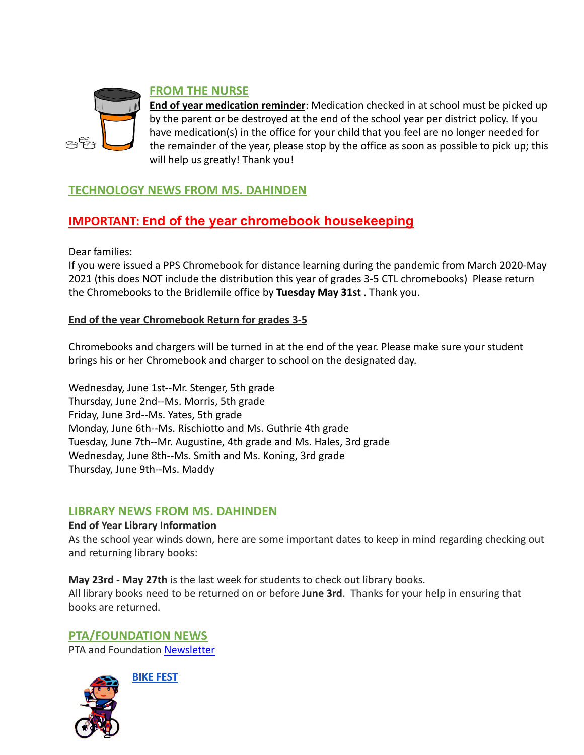

#### **FROM THE NURSE**

**End of year medication reminder**: Medication checked in at school must be picked up by the parent or be destroyed at the end of the school year per district policy. If you have medication(s) in the office for your child that you feel are no longer needed for the remainder of the year, please stop by the office as soon as possible to pick up; this will help us greatly! Thank you!

#### **TECHNOLOGY NEWS FROM MS. DAHINDEN**

### **IMPORTANT: End of the year chromebook housekeeping**

Dear families:

If you were issued a PPS Chromebook for distance learning during the pandemic from March 2020-May 2021 (this does NOT include the distribution this year of grades 3-5 CTL chromebooks) Please return the Chromebooks to the Bridlemile office by **Tuesday May 31st** . Thank you.

#### **End of the year Chromebook Return for grades 3-5**

Chromebooks and chargers will be turned in at the end of the year. Please make sure your student brings his or her Chromebook and charger to school on the designated day.

Wednesday, June 1st--Mr. Stenger, 5th grade Thursday, June 2nd--Ms. Morris, 5th grade Friday, June 3rd--Ms. Yates, 5th grade Monday, June 6th--Ms. Rischiotto and Ms. Guthrie 4th grade Tuesday, June 7th--Mr. Augustine, 4th grade and Ms. Hales, 3rd grade Wednesday, June 8th--Ms. Smith and Ms. Koning, 3rd grade Thursday, June 9th--Ms. Maddy

#### **LIBRARY NEWS FROM MS. DAHINDEN**

#### **End of Year Library Information**

As the school year winds down, here are some important dates to keep in mind regarding checking out and returning library books:

**May 23rd - May 27th** is the last week for students to check out library books. All library books need to be returned on or before **June 3rd**. Thanks for your help in ensuring that books are returned.

## **PTA/FOUNDATION NEWS**

PTA and Foundation [Newsletter](https://docs.google.com/document/u/1/d/e/2PACX-1vQlZCPHtKxqO7qpJwiwgoeaZ1ERHVLgg6z0JNYJMTulwn7xlOVY_X2I1ZV9nntsGHP57LEZ_uSufaFj/pub)



**BIKE FEST**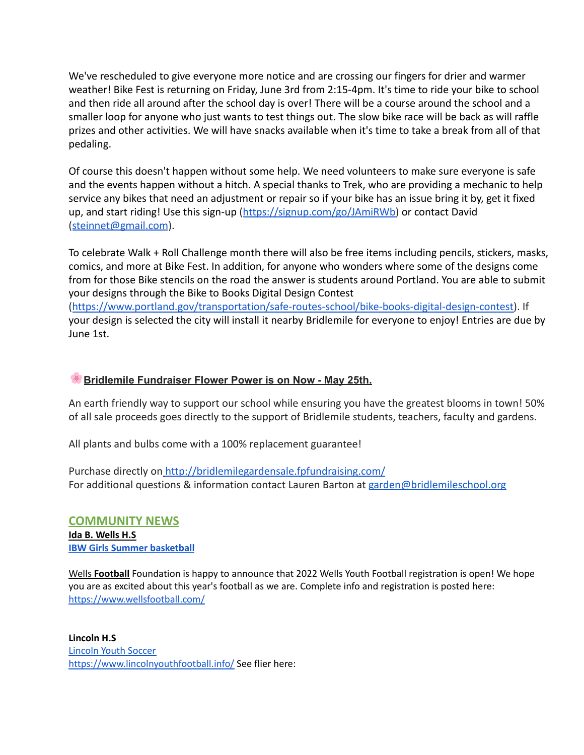We've rescheduled to give everyone more notice and are crossing our fingers for drier and warmer weather! Bike Fest is returning on Friday, June 3rd from 2:15-4pm. It's time to ride your bike to school and then ride all around after the school day is over! There will be a course around the school and a smaller loop for anyone who just wants to test things out. The slow bike race will be back as will raffle prizes and other activities. We will have snacks available when it's time to take a break from all of that pedaling.

Of course this doesn't happen without some help. We need volunteers to make sure everyone is safe and the events happen without a hitch. A special thanks to Trek, who are providing a mechanic to help service any bikes that need an adjustment or repair so if your bike has an issue bring it by, get it fixed up, and start riding! Use this sign-up ([https://signup.com/go/JAmiRWb\)](https://signup.com/go/JAmiRWb) or contact David (steinnet@gmail.com).

To celebrate Walk + Roll Challenge month there will also be free items including pencils, stickers, masks, comics, and more at Bike Fest. In addition, for anyone who wonders where some of the designs come from for those Bike stencils on the road the answer is students around Portland. You are able to submit your designs through the Bike to Books Digital Design Contest

([https://www.portland.gov/transportation/safe-routes-school/bike-books-digital-design-contest\)](https://www.portland.gov/transportation/safe-routes-school/bike-books-digital-design-contest). If your design is selected the city will install it nearby Bridlemile for everyone to enjoy! Entries are due by June 1st.

#### **Bridlemile Fundraiser Flower Power is on Now - May 25th.**

An earth friendly way to support our school while ensuring you have the greatest blooms in town! 50% of all sale proceeds goes directly to the support of Bridlemile students, teachers, faculty and gardens.

All plants and bulbs come with a 100% replacement guarantee!

Purchase directly on <http://bridlemilegardensale.fpfundraising.com/> For additional questions & information contact Lauren Barton at garden@bridlemileschool.org

#### **COMMUNITY NEWS Ida B. Wells H.S IBW Girls Summer [basketball](https://docs.google.com/document/d/16NXltsLTfKLihE977w_zH3uxXAWFA5dg1XJK4Asdvcw/edit?usp=sharing)**

Wells **Football** Foundation is happy to announce that 2022 Wells Youth Football registration is open! We hope you are as excited about this year's football as we are. Complete info and registration is posted here: <https://www.wellsfootball.com/>

**Lincoln H.S** [Lincoln](https://lincolnyouthsoccer.org/) Youth Soccer <https://www.lincolnyouthfootball.info/> See flier here: